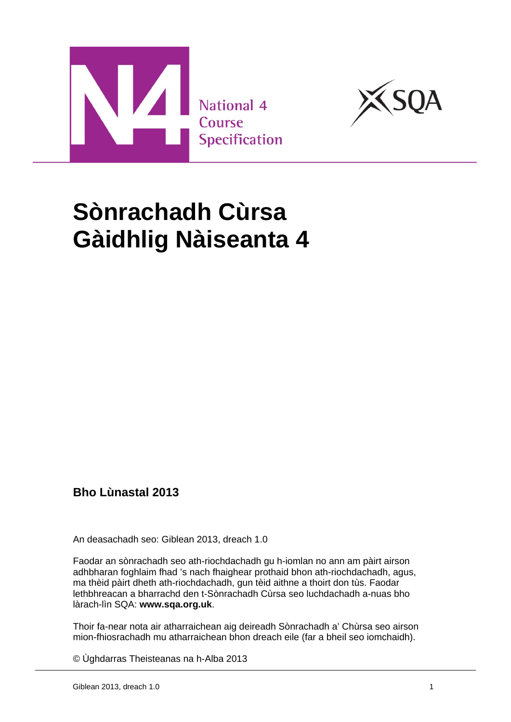



# **Sònrachadh Cùrsa Gàidhlig Nàiseanta 4**

### **Bho Lùnastal 2013**

An deasachadh seo: Giblean 2013, dreach 1.0

Faodar an sònrachadh seo ath-riochdachadh gu h-iomlan no ann am pàirt airson adhbharan foghlaim fhad 's nach fhaighear prothaid bhon ath-riochdachadh, agus, ma thèid pàirt dheth ath-riochdachadh, gun tèid aithne a thoirt don tùs. Faodar lethbhreacan a bharrachd den t-Sònrachadh Cùrsa seo luchdachadh a-nuas bho làrach-lìn SQA: **www.sqa.org.uk**.

Thoir fa-near nota air atharraichean aig deireadh Sònrachadh a' Chùrsa seo airson mion-fhiosrachadh mu atharraichean bhon dreach eile (far a bheil seo iomchaidh).

© Ùghdarras Theisteanas na h-Alba 2013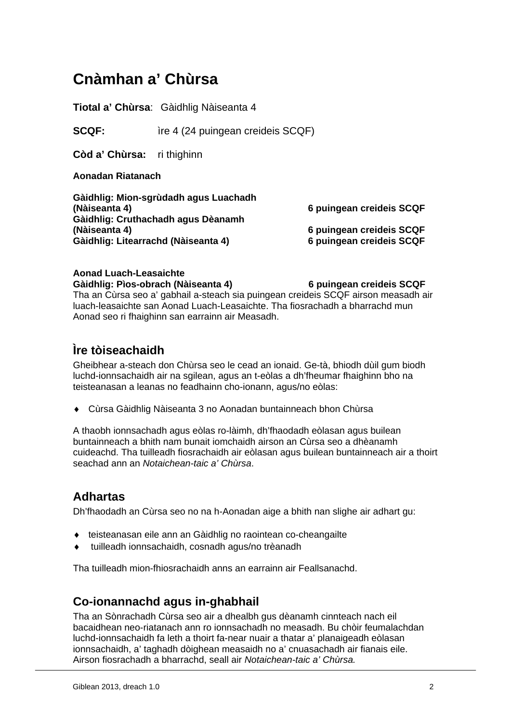# **Cnàmhan a' Chùrsa**

**Tiotal a' Chùrsa**: Gàidhlig Nàiseanta 4

**SCQF:** ire 4 (24 puingean creideis SCQF)

**Còd a' Chùrsa:** ri thighinn

**Aonadan Riatanach**

**Gàidhlig: Mion-sgrùdadh agus Luachadh (Nàiseanta 4) 6 puingean creideis SCQF Gàidhlig: Cruthachadh agus Dèanamh (Nàiseanta 4) 6 puingean creideis SCQF Gàidhlig: Litearrachd (Nàiseanta 4) 6 puingean creideis SCQF**

### **Aonad Luach-Leasaichte**

**Gàidhlig: Pìos-obrach (Nàiseanta 4) 6 puingean creideis SCQF**

Tha an Cùrsa seo a' gabhail a-steach sia puingean creideis SCQF airson measadh air luach-leasaichte san Aonad Luach-Leasaichte. Tha fiosrachadh a bharrachd mun Aonad seo ri fhaighinn san earrainn air Measadh.

# **Ìre tòiseachaidh**

Gheibhear a-steach don Chùrsa seo le cead an ionaid. Ge-tà, bhiodh dùil gum biodh luchd-ionnsachaidh air na sgilean, agus an t-eòlas a dh'fheumar fhaighinn bho na teisteanasan a leanas no feadhainn cho-ionann, agus/no eòlas:

Cùrsa Gàidhlig Nàiseanta 3 no Aonadan buntainneach bhon Chùrsa

A thaobh ionnsachadh agus eòlas ro-làimh, dh'fhaodadh eòlasan agus builean buntainneach a bhith nam bunait iomchaidh airson an Cùrsa seo a dhèanamh cuideachd. Tha tuilleadh fiosrachaidh air eòlasan agus builean buntainneach air a thoirt seachad ann an *Notaichean-taic a' Chùrsa*.

### **Adhartas**

Dh'fhaodadh an Cùrsa seo no na h-Aonadan aige a bhith nan slighe air adhart gu:

- teisteanasan eile ann an Gàidhlig no raointean co-cheangailte
- tuilleadh ionnsachaidh, cosnadh agus/no trèanadh

Tha tuilleadh mion-fhiosrachaidh anns an earrainn air Feallsanachd.

### **Co-ionannachd agus in-ghabhail**

Tha an Sònrachadh Cùrsa seo air a dhealbh gus dèanamh cinnteach nach eil bacaidhean neo-riatanach ann ro ionnsachadh no measadh. Bu chòir feumalachdan luchd-ionnsachaidh fa leth a thoirt fa-near nuair a thatar a' planaigeadh eòlasan ionnsachaidh, a' taghadh dòighean measaidh no a' cnuasachadh air fianais eile. Airson fiosrachadh a bharrachd, seall air *Notaichean-taic a' Chùrsa.*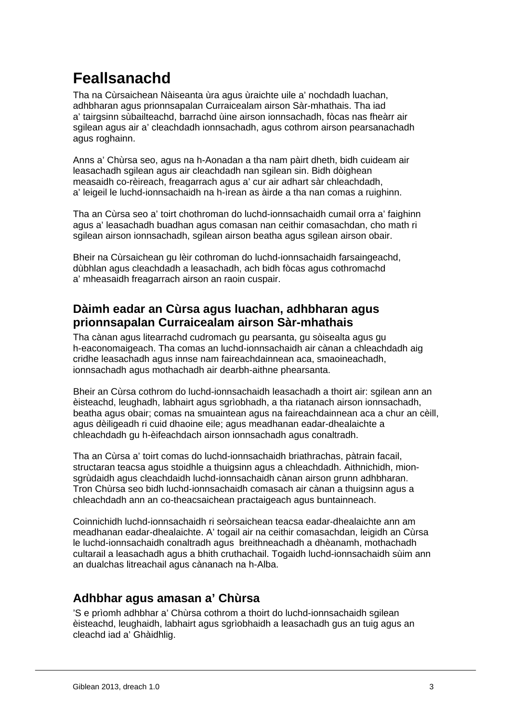# **Feallsanachd**

Tha na Cùrsaichean Nàiseanta ùra agus ùraichte uile a' nochdadh luachan, adhbharan agus prionnsapalan Curraicealam airson Sàr-mhathais. Tha iad a' tairgsinn sùbailteachd, barrachd ùine airson ionnsachadh, fòcas nas fheàrr air sgilean agus air a' cleachdadh ionnsachadh, agus cothrom airson pearsanachadh agus roghainn.

Anns a' Chùrsa seo, agus na h-Aonadan a tha nam pàirt dheth, bidh cuideam air leasachadh sgilean agus air cleachdadh nan sgilean sin. Bidh dòighean measaidh co-rèireach, freagarrach agus a' cur air adhart sàr chleachdadh, a' leigeil le luchd-ionnsachaidh na h-ìrean as àirde a tha nan comas a ruighinn.

Tha an Cùrsa seo a' toirt chothroman do luchd-ionnsachaidh cumail orra a' faighinn agus a' leasachadh buadhan agus comasan nan ceithir comasachdan, cho math ri sgilean airson ionnsachadh, sgilean airson beatha agus sgilean airson obair.

Bheir na Cùrsaichean gu lèir cothroman do luchd-ionnsachaidh farsaingeachd, dùbhlan agus cleachdadh a leasachadh, ach bidh fòcas agus cothromachd a' mheasaidh freagarrach airson an raoin cuspair.

### **Dàimh eadar an Cùrsa agus luachan, adhbharan agus prionnsapalan Curraicealam airson Sàr-mhathais**

Tha cànan agus litearrachd cudromach gu pearsanta, gu sòisealta agus gu h-eaconomaigeach. Tha comas an luchd-ionnsachaidh air cànan a chleachdadh aig cridhe leasachadh agus innse nam faireachdainnean aca, smaoineachadh, ionnsachadh agus mothachadh air dearbh-aithne phearsanta.

Bheir an Cùrsa cothrom do luchd-ionnsachaidh leasachadh a thoirt air: sgilean ann an èisteachd, leughadh, labhairt agus sgrìobhadh, a tha riatanach airson ionnsachadh, beatha agus obair; comas na smuaintean agus na faireachdainnean aca a chur an cèill, agus dèiligeadh ri cuid dhaoine eile; agus meadhanan eadar-dhealaichte a chleachdadh gu h-èifeachdach airson ionnsachadh agus conaltradh.

Tha an Cùrsa a' toirt comas do luchd-ionnsachaidh briathrachas, pàtrain facail, structaran teacsa agus stoidhle a thuigsinn agus a chleachdadh. Aithnichidh, mionsgrùdaidh agus cleachdaidh luchd-ionnsachaidh cànan airson grunn adhbharan. Tron Chùrsa seo bidh luchd-ionnsachaidh comasach air cànan a thuigsinn agus a chleachdadh ann an co-theacsaichean practaigeach agus buntainneach.

Coinnichidh luchd-ionnsachaidh ri seòrsaichean teacsa eadar-dhealaichte ann am meadhanan eadar-dhealaichte. A' togail air na ceithir comasachdan, leigidh an Cùrsa le luchd-ionnsachaidh conaltradh agus breithneachadh a dhèanamh, mothachadh cultarail a leasachadh agus a bhith cruthachail. Togaidh luchd-ionnsachaidh sùim ann an dualchas litreachail agus cànanach na h-Alba.

# **Adhbhar agus amasan a' Chùrsa**

'S e prìomh adhbhar a' Chùrsa cothrom a thoirt do luchd-ionnsachaidh sgilean èisteachd, leughaidh, labhairt agus sgrìobhaidh a leasachadh gus an tuig agus an cleachd iad a' Ghàidhlig.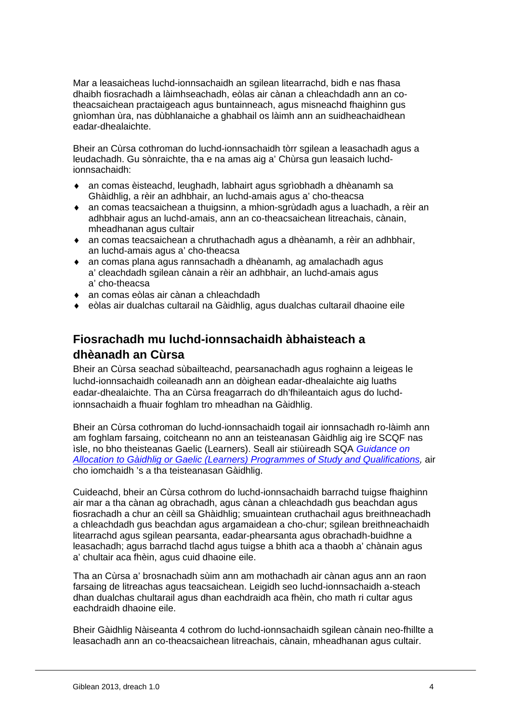Mar a leasaicheas luchd-ionnsachaidh an sgilean litearrachd, bidh e nas fhasa dhaibh fiosrachadh a làimhseachadh, eòlas air cànan a chleachdadh ann an cotheacsaichean practaigeach agus buntainneach, agus misneachd fhaighinn gus gnìomhan ùra, nas dùbhlanaiche a ghabhail os làimh ann an suidheachaidhean eadar-dhealaichte.

Bheir an Cùrsa cothroman do luchd-ionnsachaidh tòrr sgilean a leasachadh agus a leudachadh. Gu sònraichte, tha e na amas aig a' Chùrsa gun leasaich luchdionnsachaidh:

- an comas èisteachd, leughadh, labhairt agus sgrìobhadh a dhèanamh sa Ghàidhlig, a rèir an adhbhair, an luchd-amais agus a' cho-theacsa
- an comas teacsaichean a thuigsinn, a mhion-sgrùdadh agus a luachadh, a rèir an adhbhair agus an luchd-amais, ann an co-theacsaichean litreachais, cànain, mheadhanan agus cultair
- an comas teacsaichean a chruthachadh agus a dhèanamh, a rèir an adhbhair, an luchd-amais agus a' cho-theacsa
- an comas plana agus rannsachadh a dhèanamh, ag amalachadh agus a' cleachdadh sgilean cànain a rèir an adhbhair, an luchd-amais agus a' cho-theacsa
- an comas eòlas air cànan a chleachdadh
- eòlas air dualchas cultarail na Gàidhlig, agus dualchas cultarail dhaoine eile

# **Fiosrachadh mu luchd-ionnsachaidh àbhaisteach a dhèanadh an Cùrsa**

Bheir an Cùrsa seachad sùbailteachd, pearsanachadh agus roghainn a leigeas le luchd-ionnsachaidh coileanadh ann an dòighean eadar-dhealaichte aig luaths eadar-dhealaichte. Tha an Cùrsa freagarrach do dh'fhileantaich agus do luchdionnsachaidh a fhuair foghlam tro mheadhan na Gàidhlig.

Bheir an Cùrsa cothroman do luchd-ionnsachaidh togail air ionnsachadh ro-làimh ann am foghlam farsaing, coitcheann no ann an teisteanasan Gàidhlig aig ìre SCQF nas ìsle, no bho theisteanas Gaelic (Learners). Seall air stiùireadh SQA *Guidance on*  Allocation to Gàidhlig or Gaelic (Learners) Programmes of Study and Qualifications, air cho iomchaidh 's a tha teisteanasan Gàidhlig.

Cuideachd, bheir an Cùrsa cothrom do luchd-ionnsachaidh barrachd tuigse fhaighinn air mar a tha cànan ag obrachadh, agus cànan a chleachdadh gus beachdan agus fiosrachadh a chur an cèill sa Ghàidhlig; smuaintean cruthachail agus breithneachadh a chleachdadh gus beachdan agus argamaidean a cho-chur; sgilean breithneachaidh litearrachd agus sgilean pearsanta, eadar-phearsanta agus obrachadh-buidhne a leasachadh; agus barrachd tlachd agus tuigse a bhith aca a thaobh a' chànain agus a' chultair aca fhèin, agus cuid dhaoine eile.

Tha an Cùrsa a' brosnachadh sùim ann am mothachadh air cànan agus ann an raon farsaing de litreachas agus teacsaichean. Leigidh seo luchd-ionnsachaidh a-steach dhan dualchas chultarail agus dhan eachdraidh aca fhèin, cho math ri cultar agus eachdraidh dhaoine eile.

Bheir Gàidhlig Nàiseanta 4 cothrom do luchd-ionnsachaidh sgilean cànain neo-fhillte a leasachadh ann an co-theacsaichean litreachais, cànain, mheadhanan agus cultair.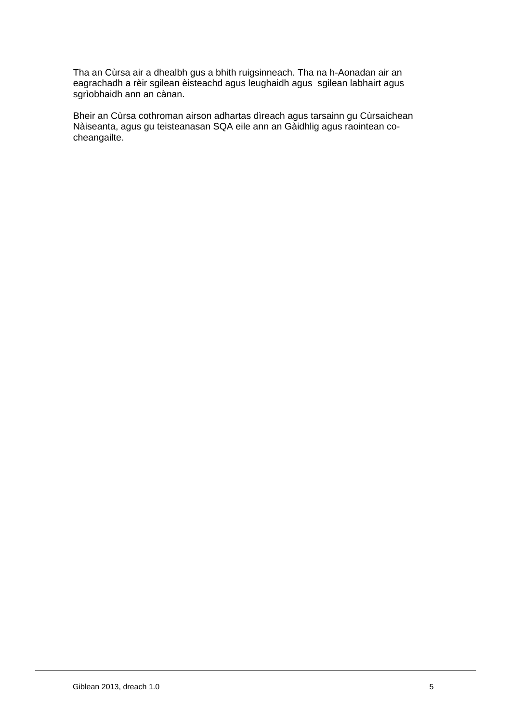Tha an Cùrsa air a dhealbh gus a bhith ruigsinneach. Tha na h-Aonadan air an eagrachadh a rèir sgilean èisteachd agus leughaidh agus sgilean labhairt agus sgrìobhaidh ann an cànan.

Bheir an Cùrsa cothroman airson adhartas dìreach agus tarsainn gu Cùrsaichean Nàiseanta, agus gu teisteanasan SQA eile ann an Gàidhlig agus raointean cocheangailte.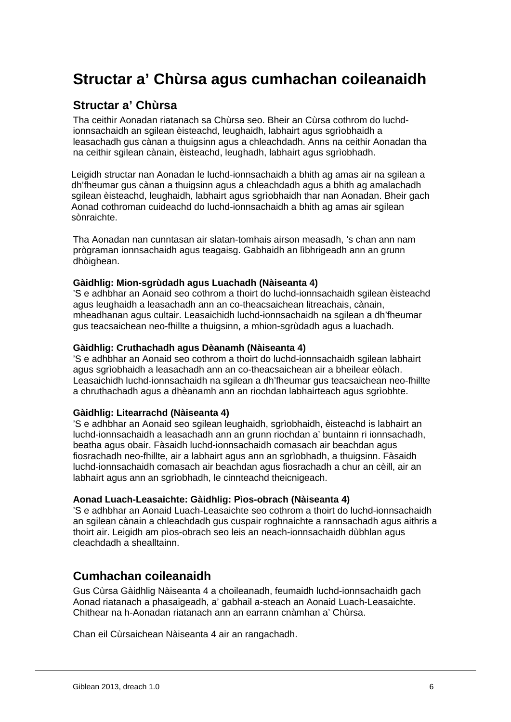# **Structar a' Chùrsa agus cumhachan coileanaidh**

### **Structar a' Chùrsa**

Tha ceithir Aonadan riatanach sa Chùrsa seo. Bheir an Cùrsa cothrom do luchdionnsachaidh an sgilean èisteachd, leughaidh, labhairt agus sgrìobhaidh a leasachadh gus cànan a thuigsinn agus a chleachdadh. Anns na ceithir Aonadan tha na ceithir sgilean cànain, èisteachd, leughadh, labhairt agus sgrìobhadh.

Leigidh structar nan Aonadan le luchd-ionnsachaidh a bhith ag amas air na sgilean a dh'fheumar gus cànan a thuigsinn agus a chleachdadh agus a bhith ag amalachadh sgilean èisteachd, leughaidh, labhairt agus sgrìobhaidh thar nan Aonadan. Bheir gach Aonad cothroman cuideachd do luchd-ionnsachaidh a bhith ag amas air sgilean sònraichte.

Tha Aonadan nan cunntasan air slatan-tomhais airson measadh, 's chan ann nam prògraman ionnsachaidh agus teagaisg. Gabhaidh an lìbhrigeadh ann an grunn dhòighean.

#### **Gàidhlig: Mion-sgrùdadh agus Luachadh (Nàiseanta 4)**

'S e adhbhar an Aonaid seo cothrom a thoirt do luchd-ionnsachaidh sgilean èisteachd agus leughaidh a leasachadh ann an co-theacsaichean litreachais, cànain, mheadhanan agus cultair. Leasaichidh luchd-ionnsachaidh na sgilean a dh'fheumar gus teacsaichean neo-fhillte a thuigsinn, a mhion-sgrùdadh agus a luachadh.

#### **Gàidhlig: Cruthachadh agus Dèanamh (Nàiseanta 4)**

'S e adhbhar an Aonaid seo cothrom a thoirt do luchd-ionnsachaidh sgilean labhairt agus sgrìobhaidh a leasachadh ann an co-theacsaichean air a bheilear eòlach. Leasaichidh luchd-ionnsachaidh na sgilean a dh'fheumar gus teacsaichean neo-fhillte a chruthachadh agus a dhèanamh ann an riochdan labhairteach agus sgrìobhte.

#### **Gàidhlig: Litearrachd (Nàiseanta 4)**

'S e adhbhar an Aonaid seo sgilean leughaidh, sgrìobhaidh, èisteachd is labhairt an luchd-ionnsachaidh a leasachadh ann an grunn riochdan a' buntainn ri ionnsachadh, beatha agus obair. Fàsaidh luchd-ionnsachaidh comasach air beachdan agus fiosrachadh neo-fhillte, air a labhairt agus ann an sgrìobhadh, a thuigsinn. Fàsaidh luchd-ionnsachaidh comasach air beachdan agus fiosrachadh a chur an cèill, air an labhairt agus ann an sgrìobhadh, le cinnteachd theicnigeach.

#### **Aonad Luach-Leasaichte: Gàidhlig: Pìos-obrach (Nàiseanta 4)**

'S e adhbhar an Aonaid Luach-Leasaichte seo cothrom a thoirt do luchd-ionnsachaidh an sgilean cànain a chleachdadh gus cuspair roghnaichte a rannsachadh agus aithris a thoirt air. Leigidh am pìos-obrach seo leis an neach-ionnsachaidh dùbhlan agus cleachdadh a shealltainn.

#### **Cumhachan coileanaidh**

Gus Cùrsa Gàidhlig Nàiseanta 4 a choileanadh, feumaidh luchd-ionnsachaidh gach Aonad riatanach a phasaigeadh, a' gabhail a-steach an Aonaid Luach-Leasaichte. Chithear na h-Aonadan riatanach ann an earrann cnàmhan a' Chùrsa.

Chan eil Cùrsaichean Nàiseanta 4 air an rangachadh.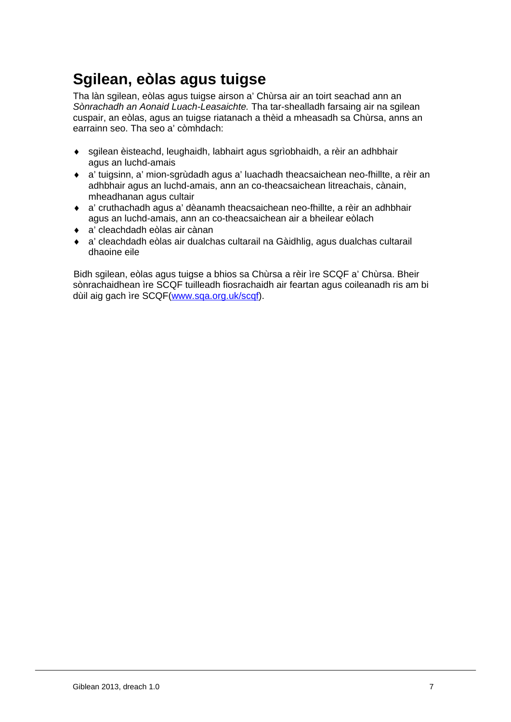# **Sgilean, eòlas agus tuigse**

Tha làn sgilean, eòlas agus tuigse airson a' Chùrsa air an toirt seachad ann an *Sònrachadh an Aonaid Luach-Leasaichte.* Tha tar-shealladh farsaing air na sgilean cuspair, an eòlas, agus an tuigse riatanach a thèid a mheasadh sa Chùrsa, anns an earrainn seo. Tha seo a' còmhdach:

- sgilean èisteachd, leughaidh, labhairt agus sgrìobhaidh, a rèir an adhbhair agus an luchd-amais
- a' tuigsinn, a' mion-sgrùdadh agus a' luachadh theacsaichean neo-fhillte, a rèir an adhbhair agus an luchd-amais, ann an co-theacsaichean litreachais, cànain, mheadhanan agus cultair
- a' cruthachadh agus a' dèanamh theacsaichean neo-fhillte, a rèir an adhbhair agus an luchd-amais, ann an co-theacsaichean air a bheilear eòlach
- a' cleachdadh eòlas air cànan
- a' cleachdadh eòlas air dualchas cultarail na Gàidhlig, agus dualchas cultarail dhaoine eile

Bidh sgilean, eòlas agus tuigse a bhios sa Chùrsa a rèir ìre SCQF a' Chùrsa. Bheir sònrachaidhean ìre SCQF tuilleadh fiosrachaidh air feartan agus coileanadh ris am bi dùil aig gach ìre SCQF(www.sqa.org.uk/scqf).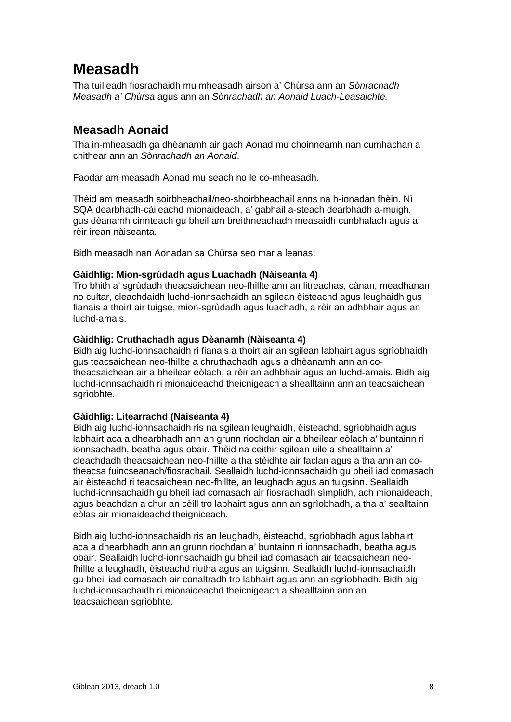# **Measadh**

Tha tuilleadh fiosrachaidh mu mheasadh airson a' Chùrsa ann an *Sònrachadh Measadh a' Chùrsa* agus ann an *Sònrachadh an Aonaid Luach-Leasaichte.*

# **Measadh Aonaid**

Tha in-mheasadh ga dhèanamh air gach Aonad mu choinneamh nan cumhachan a chithear ann an *Sònrachadh an Aonaid*.

Faodar am measadh Aonad mu seach no le co-mheasadh.

Thèid am measadh soirbheachail/neo-shoirbheachail anns na h-ionadan fhèin. Nì SQA dearbhadh-càileachd mionaideach, a' gabhail a-steach dearbhadh a-muigh, gus dèanamh cinnteach gu bheil am breithneachadh measaidh cunbhalach agus a rèir ìrean nàiseanta.

Bidh measadh nan Aonadan sa Chùrsa seo mar a leanas:

#### **Gàidhlig: Mion-sgrùdadh agus Luachadh (Nàiseanta 4)**

Tro bhith a' sgrùdadh theacsaichean neo-fhillte ann an litreachas, cànan, meadhanan no cultar, cleachdaidh luchd-ionnsachaidh an sgilean èisteachd agus leughaidh gus fianais a thoirt air tuigse, mion-sgrùdadh agus luachadh, a rèir an adhbhair agus an luchd-amais.

#### **Gàidhlig: Cruthachadh agus Dèanamh (Nàiseanta 4)**

Bidh aig luchd-ionnsachaidh ri fianais a thoirt air an sgilean labhairt agus sgrìobhaidh gus teacsaichean neo-fhillte a chruthachadh agus a dhèanamh ann an cotheacsaichean air a bheilear eòlach, a rèir an adhbhair agus an luchd-amais. Bidh aig luchd-ionnsachaidh ri mionaideachd theicnigeach a shealltainn ann an teacsaichean sgrìobhte.

#### **Gàidhlig: Litearrachd (Nàiseanta 4)**

Bidh aig luchd-ionnsachaidh ris na sgilean leughaidh, èisteachd, sgrìobhaidh agus labhairt aca a dhearbhadh ann an grunn riochdan air a bheilear eòlach a' buntainn ri ionnsachadh, beatha agus obair. Thèid na ceithir sgilean uile a shealltainn a' cleachdadh theacsaichean neo-fhillte a tha stèidhte air faclan agus a tha ann an cotheacsa fuincseanach/fiosrachail. Seallaidh luchd-ionnsachaidh gu bheil iad comasach air èisteachd ri teacsaichean neo-fhillte, an leughadh agus an tuigsinn. Seallaidh luchd-ionnsachaidh gu bheil iad comasach air fiosrachadh sìmplidh, ach mionaideach, agus beachdan a chur an cèill tro labhairt agus ann an sgrìobhadh, a tha a' sealltainn eòlas air mionaideachd theigniceach.

Bidh aig luchd-ionnsachaidh ris an leughadh, èisteachd, sgrìobhadh agus labhairt aca a dhearbhadh ann an grunn riochdan a' buntainn ri ionnsachadh, beatha agus obair. Seallaidh luchd-ionnsachaidh gu bheil iad comasach air teacsaichean neofhillte a leughadh, èisteachd riutha agus an tuigsinn. Seallaidh luchd-ionnsachaidh gu bheil iad comasach air conaltradh tro labhairt agus ann an sgrìobhadh. Bidh aig luchd-ionnsachaidh ri mionaideachd theicnigeach a shealltainn ann an teacsaichean sgrìobhte.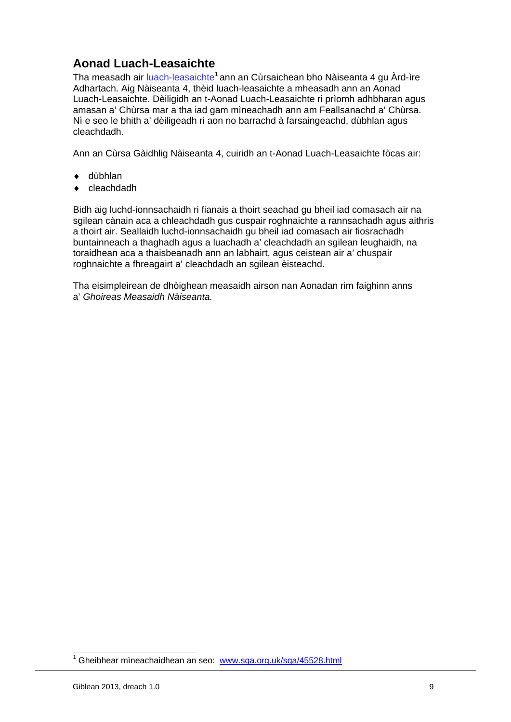# **Aonad Luach-Leasaichte**

Tha measadh air luach-leasaichte<sup>1</sup> ann an Cùrsaichean bho Nàiseanta 4 gu Àrd-ìre Adhartach. Aig Nàiseanta 4, thèid luach-leasaichte a mheasadh ann an Aonad Luach-Leasaichte. Dèiligidh an t-Aonad Luach-Leasaichte ri prìomh adhbharan agus amasan a' Chùrsa mar a tha iad gam mìneachadh ann am Feallsanachd a' Chùrsa. Nì e seo le bhith a' dèiligeadh ri aon no barrachd à farsaingeachd, dùbhlan agus cleachdadh.

Ann an Cùrsa Gàidhlig Nàiseanta 4, cuiridh an t-Aonad Luach-Leasaichte fòcas air:

- ◆ dùbhlan
- ◆ cleachdadh

Bidh aig luchd-ionnsachaidh ri fianais a thoirt seachad gu bheil iad comasach air na sgilean cànain aca a chleachdadh gus cuspair roghnaichte a rannsachadh agus aithris a thoirt air. Seallaidh luchd-ionnsachaidh gu bheil iad comasach air fiosrachadh buntainneach a thaghadh agus a luachadh a' cleachdadh an sgilean leughaidh, na toraidhean aca a thaisbeanadh ann an labhairt, agus ceistean air a' chuspair roghnaichte a fhreagairt a' cleachdadh an sgilean èisteachd.

Tha eisimpleirean de dhòighean measaidh airson nan Aonadan rim faighinn anns a' *Ghoireas Measaidh Nàiseanta.*

<sup>&</sup>lt;sup>1</sup> Gheibhear mìneachaidhean an seo: www.sqa.org.uk/sqa/45528.html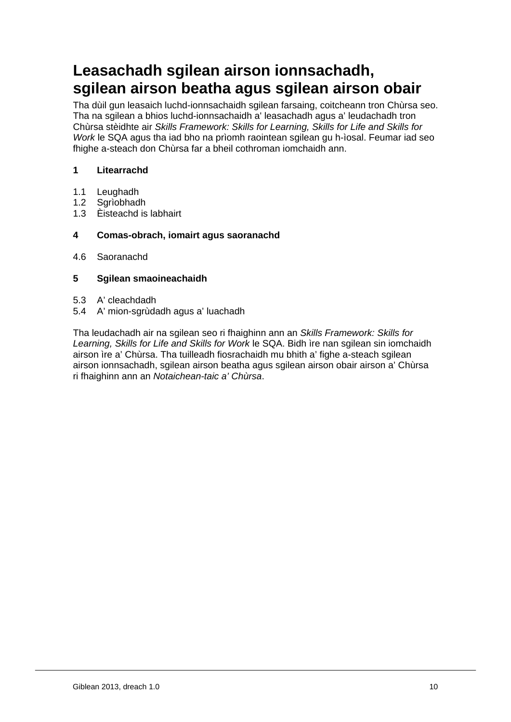# **Leasachadh sgilean airson ionnsachadh, sgilean airson beatha agus sgilean airson obair**

Tha dùil gun leasaich luchd-ionnsachaidh sgilean farsaing, coitcheann tron Chùrsa seo. Tha na sgilean a bhios luchd-ionnsachaidh a' leasachadh agus a' leudachadh tron Chùrsa stèidhte air *Skills Framework: Skills for Learning, Skills for Life and Skills for Work* le SQA agus tha iad bho na prìomh raointean sgilean gu h-ìosal. Feumar iad seo fhighe a-steach don Chùrsa far a bheil cothroman iomchaidh ann.

#### **1 Litearrachd**

- 1.1 Leughadh
- 1.2 Sgrìobhadh
- 1.3 Èisteachd is labhairt

#### **4 Comas-obrach, iomairt agus saoranachd**

4.6 Saoranachd

#### **5 Sgilean smaoineachaidh**

- 5.3 A' cleachdadh
- 5.4 A' mion-sgrùdadh agus a' luachadh

Tha leudachadh air na sgilean seo ri fhaighinn ann an *Skills Framework: Skills for Learning, Skills for Life and Skills for Work* le SQA. Bidh ìre nan sgilean sin iomchaidh airson ìre a' Chùrsa. Tha tuilleadh fiosrachaidh mu bhith a' fighe a-steach sgilean airson ionnsachadh, sgilean airson beatha agus sgilean airson obair airson a' Chùrsa ri fhaighinn ann an *Notaichean-taic a' Chùrsa*.